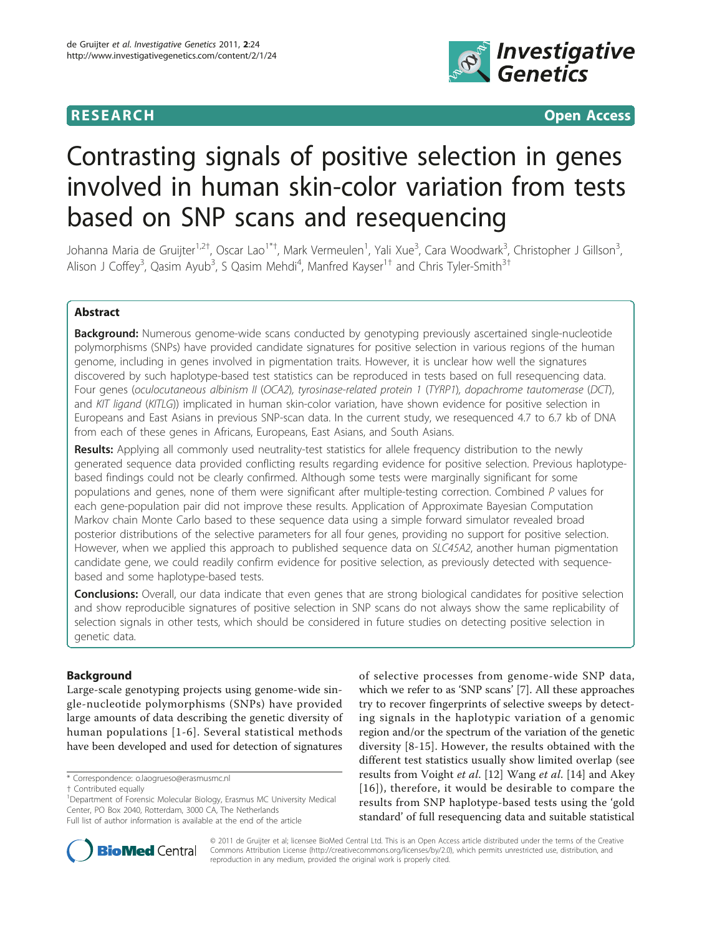

**RESEARCH CONTROL** CONTROL CONTROL CONTROL CONTROL CONTROL CONTROL CONTROL CONTROL CONTROL CONTROL CONTROL CONTROL CONTROL CONTROL CONTROL CONTROL CONTROL CONTROL CONTROL CONTROL CONTROL CONTROL CONTROL CONTROL CONTROL CON

# Contrasting signals of positive selection in genes involved in human skin-color variation from tests based on SNP scans and resequencing

Johanna Maria de Gruijter<sup>1,2†</sup>, Oscar Lao<sup>1\*†</sup>, Mark Vermeulen<sup>1</sup>, Yali Xue<sup>3</sup>, Cara Woodwark<sup>3</sup>, Christopher J Gillson<sup>3</sup> , Alison J Coffey<sup>3</sup>, Qasim Ayub<sup>3</sup>, S Qasim Mehdi<sup>4</sup>, Manfred Kayser<sup>1†</sup> and Chris Tyler-Smith<sup>3†</sup>

# Abstract

**Background:** Numerous genome-wide scans conducted by genotyping previously ascertained single-nucleotide polymorphisms (SNPs) have provided candidate signatures for positive selection in various regions of the human genome, including in genes involved in pigmentation traits. However, it is unclear how well the signatures discovered by such haplotype-based test statistics can be reproduced in tests based on full resequencing data. Four genes (oculocutaneous albinism II (OCA2), tyrosinase-related protein 1 (TYRP1), dopachrome tautomerase (DCT), and KIT ligand (KITLG)) implicated in human skin-color variation, have shown evidence for positive selection in Europeans and East Asians in previous SNP-scan data. In the current study, we resequenced 4.7 to 6.7 kb of DNA from each of these genes in Africans, Europeans, East Asians, and South Asians.

Results: Applying all commonly used neutrality-test statistics for allele frequency distribution to the newly generated sequence data provided conflicting results regarding evidence for positive selection. Previous haplotypebased findings could not be clearly confirmed. Although some tests were marginally significant for some populations and genes, none of them were significant after multiple-testing correction. Combined P values for each gene-population pair did not improve these results. Application of Approximate Bayesian Computation Markov chain Monte Carlo based to these sequence data using a simple forward simulator revealed broad posterior distributions of the selective parameters for all four genes, providing no support for positive selection. However, when we applied this approach to published sequence data on SLC45A2, another human pigmentation candidate gene, we could readily confirm evidence for positive selection, as previously detected with sequencebased and some haplotype-based tests.

**Conclusions:** Overall, our data indicate that even genes that are strong biological candidates for positive selection and show reproducible signatures of positive selection in SNP scans do not always show the same replicability of selection signals in other tests, which should be considered in future studies on detecting positive selection in genetic data.

# Background

Large-scale genotyping projects using genome-wide single-nucleotide polymorphisms (SNPs) have provided large amounts of data describing the genetic diversity of human populations [[1](#page-10-0)-[6\]](#page-10-0). Several statistical methods have been developed and used for detection of signatures

\* Correspondence: [o.laogrueso@erasmusmc.nl](mailto:o.laogrueso@erasmusmc.nl)

† Contributed equally <sup>1</sup>

<sup>1</sup>Department of Forensic Molecular Biology, Erasmus MC University Medical Center, PO Box 2040, Rotterdam, 3000 CA, The Netherlands Full list of author information is available at the end of the article



© 2011 de Gruijter et al; licensee BioMed Central Ltd. This is an Open Access article distributed under the terms of the Creative Commons Attribution License [\(http://creativecommons.org/licenses/by/2.0](http://creativecommons.org/licenses/by/2.0)), which permits unrestricted use, distribution, and reproduction in any medium, provided the original work is properly cited.

of selective processes from genome-wide SNP data, which we refer to as 'SNP scans' [\[7](#page-10-0)]. All these approaches try to recover fingerprints of selective sweeps by detecting signals in the haplotypic variation of a genomic region and/or the spectrum of the variation of the genetic diversity [[8-15\]](#page-10-0). However, the results obtained with the different test statistics usually show limited overlap (see results from Voight et al. [\[12](#page-10-0)] Wang et al. [[14\]](#page-10-0) and Akey [[16\]](#page-10-0)), therefore, it would be desirable to compare the results from SNP haplotype-based tests using the 'gold standard' of full resequencing data and suitable statistical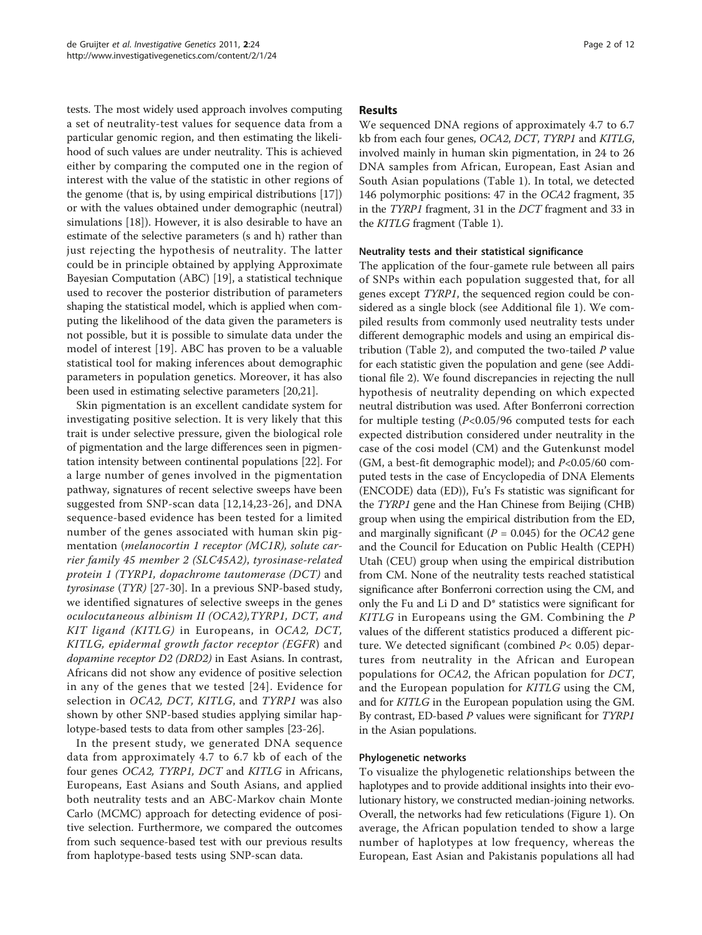tests. The most widely used approach involves computing a set of neutrality-test values for sequence data from a particular genomic region, and then estimating the likelihood of such values are under neutrality. This is achieved either by comparing the computed one in the region of interest with the value of the statistic in other regions of the genome (that is, by using empirical distributions [\[17](#page-10-0)]) or with the values obtained under demographic (neutral) simulations [[18\]](#page-10-0)). However, it is also desirable to have an estimate of the selective parameters (s and h) rather than just rejecting the hypothesis of neutrality. The latter could be in principle obtained by applying Approximate Bayesian Computation (ABC) [[19\]](#page-10-0), a statistical technique used to recover the posterior distribution of parameters shaping the statistical model, which is applied when computing the likelihood of the data given the parameters is not possible, but it is possible to simulate data under the model of interest [[19\]](#page-10-0). ABC has proven to be a valuable statistical tool for making inferences about demographic parameters in population genetics. Moreover, it has also been used in estimating selective parameters [\[20,21\]](#page-10-0).

Skin pigmentation is an excellent candidate system for investigating positive selection. It is very likely that this trait is under selective pressure, given the biological role of pigmentation and the large differences seen in pigmentation intensity between continental populations [[22\]](#page-10-0). For a large number of genes involved in the pigmentation pathway, signatures of recent selective sweeps have been suggested from SNP-scan data [\[12,14,23-26\]](#page-10-0), and DNA sequence-based evidence has been tested for a limited number of the genes associated with human skin pigmentation (melanocortin 1 receptor (MC1R), solute carrier family 45 member 2 (SLC45A2), tyrosinase-related protein 1 (TYRP1, dopachrome tautomerase (DCT) and tyrosinase (TYR) [\[27](#page-10-0)-[30\]](#page-10-0). In a previous SNP-based study, we identified signatures of selective sweeps in the genes oculocutaneous albinism II (OCA2),TYRP1, DCT, and KIT ligand (KITLG) in Europeans, in OCA2, DCT, KITLG, epidermal growth factor receptor (EGFR) and dopamine receptor D2 (DRD2) in East Asians. In contrast, Africans did not show any evidence of positive selection in any of the genes that we tested [[24\]](#page-10-0). Evidence for selection in OCA2, DCT, KITLG, and TYRP1 was also shown by other SNP-based studies applying similar haplotype-based tests to data from other samples [[23-26](#page-10-0)].

In the present study, we generated DNA sequence data from approximately 4.7 to 6.7 kb of each of the four genes OCA2, TYRP1, DCT and KITLG in Africans, Europeans, East Asians and South Asians, and applied both neutrality tests and an ABC-Markov chain Monte Carlo (MCMC) approach for detecting evidence of positive selection. Furthermore, we compared the outcomes from such sequence-based test with our previous results from haplotype-based tests using SNP-scan data.

# Results

We sequenced DNA regions of approximately 4.7 to 6.7 kb from each four genes, OCA2, DCT, TYRP1 and KITLG, involved mainly in human skin pigmentation, in 24 to 26 DNA samples from African, European, East Asian and South Asian populations (Table [1\)](#page-2-0). In total, we detected 146 polymorphic positions: 47 in the OCA2 fragment, 35 in the TYRP1 fragment, 31 in the DCT fragment and 33 in the KITLG fragment (Table [1\)](#page-2-0).

# Neutrality tests and their statistical significance

The application of the four-gamete rule between all pairs of SNPs within each population suggested that, for all genes except TYRP1, the sequenced region could be considered as a single block (see Additional file [1\)](#page-9-0). We compiled results from commonly used neutrality tests under different demographic models and using an empirical dis-tribution (Table [2](#page-3-0)), and computed the two-tailed  $P$  value for each statistic given the population and gene (see Additional file [2\)](#page-9-0). We found discrepancies in rejecting the null hypothesis of neutrality depending on which expected neutral distribution was used. After Bonferroni correction for multiple testing (P<0.05/96 computed tests for each expected distribution considered under neutrality in the case of the cosi model (CM) and the Gutenkunst model (GM, a best-fit demographic model); and  $P<0.05/60$  computed tests in the case of Encyclopedia of DNA Elements (ENCODE) data (ED)), Fu's Fs statistic was significant for the TYRP1 gene and the Han Chinese from Beijing (CHB) group when using the empirical distribution from the ED, and marginally significant ( $P = 0.045$ ) for the OCA2 gene and the Council for Education on Public Health (CEPH) Utah (CEU) group when using the empirical distribution from CM. None of the neutrality tests reached statistical significance after Bonferroni correction using the CM, and only the Fu and Li D and D\* statistics were significant for KITLG in Europeans using the GM. Combining the P values of the different statistics produced a different picture. We detected significant (combined  $P<$  0.05) departures from neutrality in the African and European populations for OCA2, the African population for DCT, and the European population for KITLG using the CM, and for KITLG in the European population using the GM. By contrast, ED-based P values were significant for TYRP1 in the Asian populations.

# Phylogenetic networks

To visualize the phylogenetic relationships between the haplotypes and to provide additional insights into their evolutionary history, we constructed median-joining networks. Overall, the networks had few reticulations (Figure [1\)](#page-3-0). On average, the African population tended to show a large number of haplotypes at low frequency, whereas the European, East Asian and Pakistanis populations all had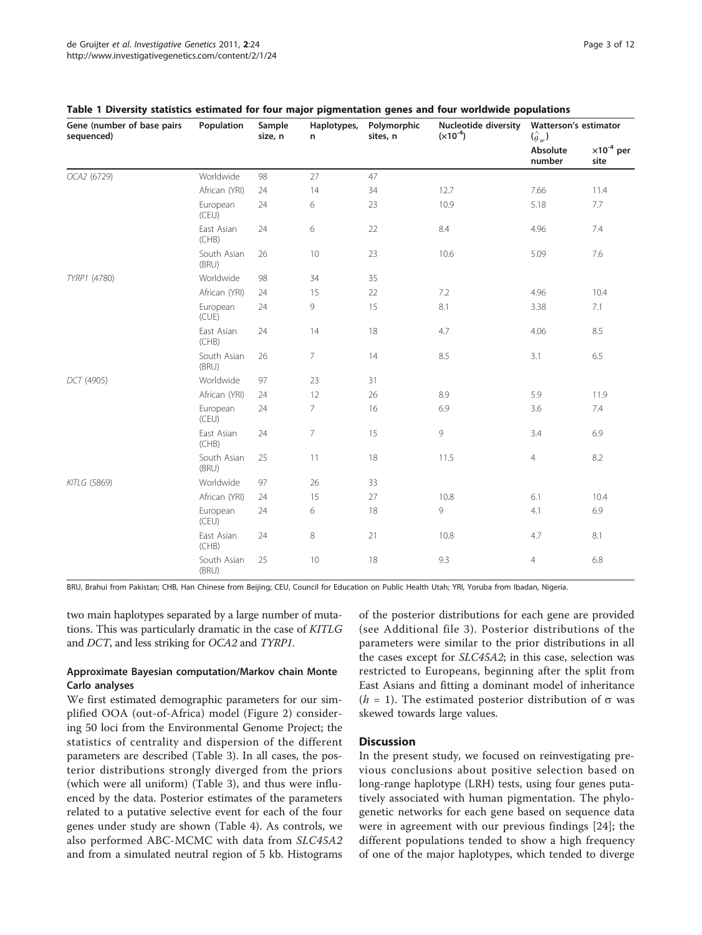| Gene (number of base pairs<br>sequenced) | Population           | Sample<br>size, n | Haplotypes,<br>n. | Polymorphic<br>sites, n | <b>Nucleotide diversity</b><br>$(x10^{-4})$ | Watterson's estimator<br>$(\hat{\theta}_w)$ |                              |
|------------------------------------------|----------------------|-------------------|-------------------|-------------------------|---------------------------------------------|---------------------------------------------|------------------------------|
|                                          |                      |                   |                   |                         |                                             | Absolute<br>number                          | $\times 10^{-4}$ per<br>site |
| OCA2 (6729)                              | Worldwide            | 98                | 27                | 47                      |                                             |                                             |                              |
|                                          | African (YRI)        | 24                | 14                | 34                      | 12.7                                        | 7.66                                        | 11.4                         |
|                                          | European<br>(CEU)    | 24                | 6                 | 23                      | 10.9                                        | 5.18                                        | 7.7                          |
|                                          | East Asian<br>(CHB)  | 24                | 6                 | 22                      | 8.4                                         | 4.96                                        | 7.4                          |
|                                          | South Asian<br>(BRU) | 26                | 10                | 23                      | 10.6                                        | 5.09                                        | 7.6                          |
| TYRP1 (4780)                             | Worldwide            | 98                | 34                | 35                      |                                             |                                             |                              |
|                                          | African (YRI)        | 24                | 15                | 22                      | 7.2                                         | 4.96                                        | 10.4                         |
|                                          | European<br>(CUE)    | 24                | 9                 | 15                      | 8.1                                         | 3.38                                        | 7.1                          |
|                                          | East Asian<br>(CHB)  | 24                | 14                | 18                      | 4.7                                         | 4.06                                        | 8.5                          |
|                                          | South Asian<br>(BRU) | 26                | $\overline{7}$    | 14                      | 8.5                                         | 3.1                                         | 6.5                          |
| DCT (4905)                               | Worldwide            | 97                | 23                | 31                      |                                             |                                             |                              |
|                                          | African (YRI)        | 24                | 12                | 26                      | 8.9                                         | 5.9                                         | 11.9                         |
|                                          | European<br>(CEU)    | 24                | 7                 | 16                      | 6.9                                         | 3.6                                         | 7.4                          |
|                                          | East Asian<br>(CHB)  | 24                | 7                 | 15                      | 9                                           | 3.4                                         | 6.9                          |
|                                          | South Asian<br>(BRU) | 25                | 11                | 18                      | 11.5                                        | $\overline{4}$                              | 8.2                          |
| KITLG (5869)                             | Worldwide            | 97                | 26                | 33                      |                                             |                                             |                              |
|                                          | African (YRI)        | 24                | 15                | 27                      | 10.8                                        | 6.1                                         | 10.4                         |
|                                          | European<br>(CEU)    | 24                | 6                 | 18                      | 9                                           | 4.1                                         | 6.9                          |
|                                          | East Asian<br>(CHB)  | 24                | 8                 | 21                      | 10.8                                        | 4.7                                         | 8.1                          |
|                                          | South Asian<br>(BRU) | 25                | 10                | 18                      | 9.3                                         | 4                                           | 6.8                          |

#### <span id="page-2-0"></span>Table 1 Diversity statistics estimated for four major pigmentation genes and four worldwide populations

BRU, Brahui from Pakistan; CHB, Han Chinese from Beijing; CEU, Council for Education on Public Health Utah; YRI, Yoruba from Ibadan, Nigeria.

two main haplotypes separated by a large number of mutations. This was particularly dramatic in the case of KITLG and DCT, and less striking for OCA2 and TYRP1.

# Approximate Bayesian computation/Markov chain Monte Carlo analyses

We first estimated demographic parameters for our simplified OOA (out-of-Africa) model (Figure [2\)](#page-4-0) considering 50 loci from the Environmental Genome Project; the statistics of centrality and dispersion of the different parameters are described (Table [3](#page-4-0)). In all cases, the posterior distributions strongly diverged from the priors (which were all uniform) (Table [3](#page-4-0)), and thus were influenced by the data. Posterior estimates of the parameters related to a putative selective event for each of the four genes under study are shown (Table [4](#page-5-0)). As controls, we also performed ABC-MCMC with data from SLC45A2 and from a simulated neutral region of 5 kb. Histograms

of the posterior distributions for each gene are provided (see Additional file [3\)](#page-9-0). Posterior distributions of the parameters were similar to the prior distributions in all the cases except for SLC45A2; in this case, selection was restricted to Europeans, beginning after the split from East Asians and fitting a dominant model of inheritance (*h* = 1). The estimated posterior distribution of  $\sigma$  was skewed towards large values.

#### **Discussion**

In the present study, we focused on reinvestigating previous conclusions about positive selection based on long-range haplotype (LRH) tests, using four genes putatively associated with human pigmentation. The phylogenetic networks for each gene based on sequence data were in agreement with our previous findings [\[24](#page-10-0)]; the different populations tended to show a high frequency of one of the major haplotypes, which tended to diverge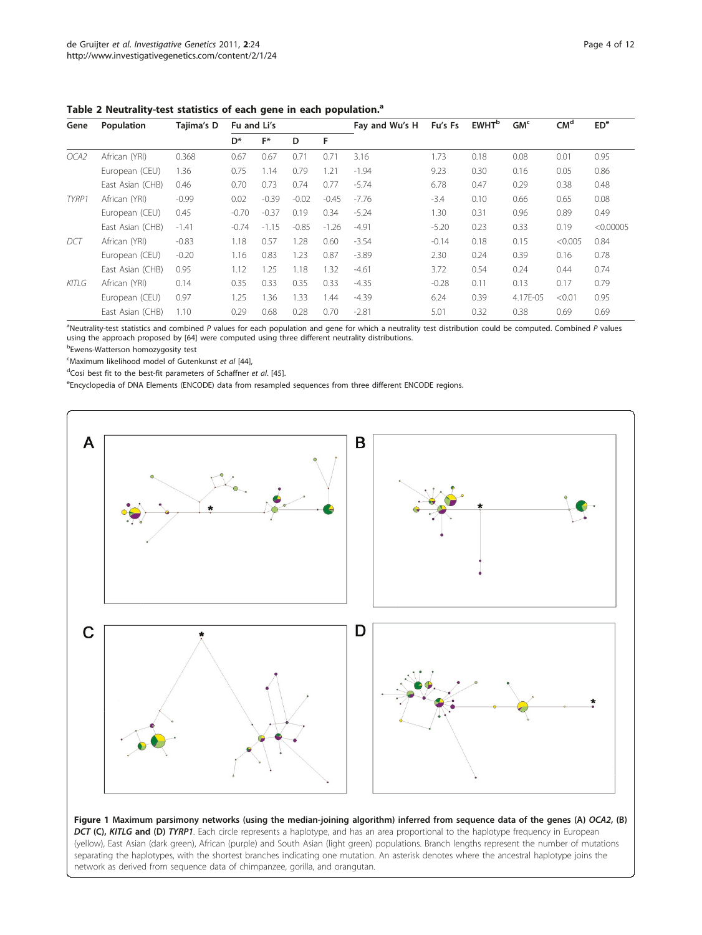| Gene  | Population       | Tajima's D | Fu and Li's    |         |         |         | Fay and Wu's H | Fu's Fs | <b>EWHT</b> <sup>b</sup> | GM <sub>c</sub> | CM <sup>d</sup> | ED <sup>e</sup> |
|-------|------------------|------------|----------------|---------|---------|---------|----------------|---------|--------------------------|-----------------|-----------------|-----------------|
|       |                  |            | D <sup>*</sup> | F*      | D       | F       |                |         |                          |                 |                 |                 |
| OCA2  | African (YRI)    | 0.368      | 0.67           | 0.67    | 0.71    | 0.71    | 3.16           | 1.73    | 0.18                     | 0.08            | 0.01            | 0.95            |
|       | European (CEU)   | 1.36       | 0.75           | 1.14    | 0.79    | 1.21    | $-1.94$        | 9.23    | 0.30                     | 0.16            | 0.05            | 0.86            |
|       | East Asian (CHB) | 0.46       | 0.70           | 0.73    | 0.74    | 0.77    | $-5.74$        | 6.78    | 0.47                     | 0.29            | 0.38            | 0.48            |
| TYRP1 | African (YRI)    | $-0.99$    | 0.02           | $-0.39$ | $-0.02$ | $-0.45$ | $-7.76$        | $-3.4$  | 0.10                     | 0.66            | 0.65            | 0.08            |
|       | European (CEU)   | 0.45       | $-0.70$        | $-0.37$ | 0.19    | 0.34    | $-5.24$        | 1.30    | 0.31                     | 0.96            | 0.89            | 0.49            |
|       | East Asian (CHB) | $-1.41$    | $-0.74$        | $-1.15$ | $-0.85$ | $-1.26$ | $-4.91$        | $-5.20$ | 0.23                     | 0.33            | 0.19            | < 0.00005       |
| DCT   | African (YRI)    | $-0.83$    | 1.18           | 0.57    | 1.28    | 0.60    | $-3.54$        | $-0.14$ | 0.18                     | 0.15            | < 0.005         | 0.84            |
|       | European (CEU)   | $-0.20$    | 1.16           | 0.83    | 1.23    | 0.87    | $-3.89$        | 2.30    | 0.24                     | 0.39            | 0.16            | 0.78            |
|       | East Asian (CHB) | 0.95       | 1.12           | 1.25    | 1.18    | 1.32    | $-4.61$        | 3.72    | 0.54                     | 0.24            | 0.44            | 0.74            |
| KITLG | African (YRI)    | 0.14       | 0.35           | 0.33    | 0.35    | 0.33    | $-4.35$        | $-0.28$ | 0.11                     | 0.13            | 0.17            | 0.79            |
|       | European (CEU)   | 0.97       | 1.25           | 1.36    | 1.33    | 1.44    | $-4.39$        | 6.24    | 0.39                     | 4.17E-05        | < 0.01          | 0.95            |
|       | East Asian (CHB) | 1.10       | 0.29           | 0.68    | 0.28    | 0.70    | $-2.81$        | 5.01    | 0.32                     | 0.38            | 0.69            | 0.69            |

<span id="page-3-0"></span>Table 2 Neutrality-test statistics of each gene in each population.<sup>a</sup>

<sup>a</sup>Neutrality-test statistics and combined P values for each population and gene for which a neutrality test distribution could be computed. Combined P values<br>using the approach proposed by [64] were computed using three d using the approach proposed by [[64\]](#page-11-0) were computed using three different neutrality distributions.

b Ewens-Watterson homozygosity test

<sup>c</sup>Maximum likelihood model of Gutenkunst *et al* [[44](#page-11-0)], <sup>d</sup>Cosi best fit to the best fit parameters of Schaffner

 $d$ Cosi best fit to the best-fit parameters of Schaffner et al. [\[45](#page-11-0)].

Encyclopedia of DNA Elements (ENCODE) data from resampled sequences from three different ENCODE regions.



Figure 1 Maximum parsimony networks (using the median-joining algorithm) inferred from sequence data of the genes (A) OCA2, (B) DCT (C), KITLG and (D) TYRP1. Each circle represents a haplotype, and has an area proportional to the haplotype frequency in European (yellow), East Asian (dark green), African (purple) and South Asian (light green) populations. Branch lengths represent the number of mutations separating the haplotypes, with the shortest branches indicating one mutation. An asterisk denotes where the ancestral haplotype joins the network as derived from sequence data of chimpanzee, gorilla, and orangutan.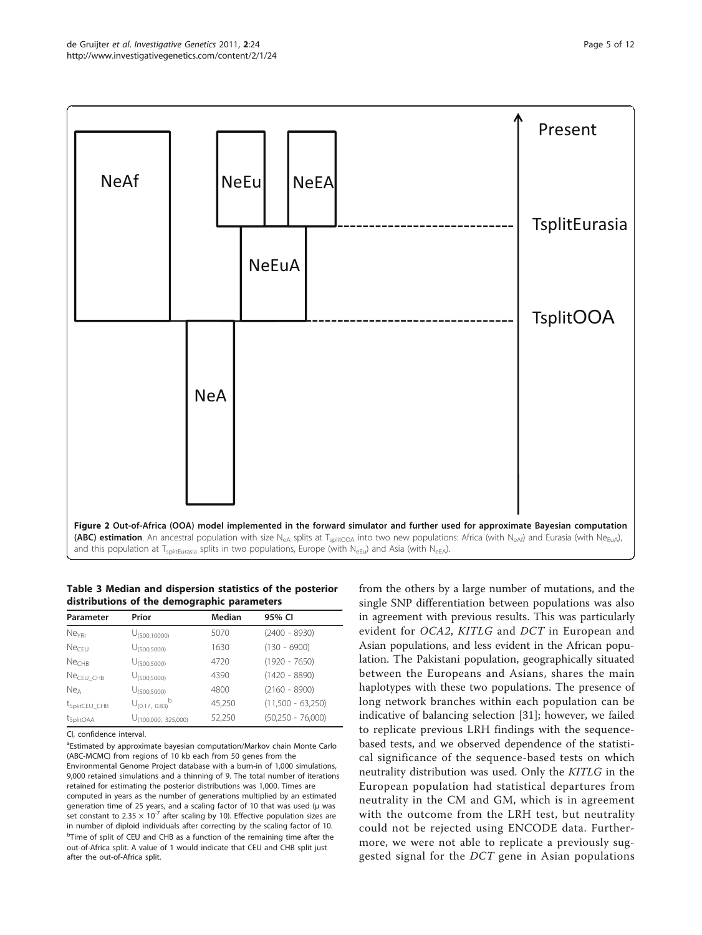<span id="page-4-0"></span>

Table 3 Median and dispersion statistics of the posterior distributions of the demographic parameters

| Parameter                 | Prior                            | Median | 95% CI              |
|---------------------------|----------------------------------|--------|---------------------|
| Ne <sub>YRI</sub>         | U <sub>(500.10000)</sub>         | 5070   | $(2400 - 8930)$     |
| Ne <sub>CFU</sub>         | U <sub>(500.5000)</sub>          | 1630   | $(130 - 6900)$      |
| Ne <sub>CHB</sub>         | U <sub>(500,5000)</sub>          | 4720   | $(1920 - 7650)$     |
| $NeCEU_CHB$               | U <sub>(500.5000)</sub>          | 4390   | $(1420 - 8890)$     |
| Ne <sub>A</sub>           | U <sub>(500.5000)</sub>          | 4800   | $(2160 - 8900)$     |
| t <sub>SplitCEU</sub> CHB | $U_{(0.17, 0.83)}^{\text{b}}$    | 45,250 | $(11,500 - 63,250)$ |
| t <sub>SplitOAA</sub>     | U <sub>(100,000</sub> , 325,000) | 52,250 | $(50,250 - 76,000)$ |

CI, confidence interval.

<sup>a</sup>Estimated by approximate bayesian computation/Markov chain Monte Carlo (ABC-MCMC) from regions of 10 kb each from 50 genes from the Environmental Genome Project database with a burn-in of 1,000 simulations, 9,000 retained simulations and a thinning of 9. The total number of iterations retained for estimating the posterior distributions was 1,000. Times are computed in years as the number of generations multiplied by an estimated generation time of 25 years, and a scaling factor of 10 that was used (μ was set constant to 2.35  $\times$  10<sup>-7</sup> after scaling by 10). Effective population sizes are in number of diploid individuals after correcting by the scaling factor of 10. <sup>b</sup>Time of split of CEU and CHB as a function of the remaining time after the out-of-Africa split. A value of 1 would indicate that CEU and CHB split just after the out-of-Africa split.

from the others by a large number of mutations, and the single SNP differentiation between populations was also in agreement with previous results. This was particularly evident for OCA2, KITLG and DCT in European and Asian populations, and less evident in the African population. The Pakistani population, geographically situated between the Europeans and Asians, shares the main haplotypes with these two populations. The presence of long network branches within each population can be indicative of balancing selection [[31](#page-10-0)]; however, we failed to replicate previous LRH findings with the sequencebased tests, and we observed dependence of the statistical significance of the sequence-based tests on which neutrality distribution was used. Only the KITLG in the European population had statistical departures from neutrality in the CM and GM, which is in agreement with the outcome from the LRH test, but neutrality could not be rejected using ENCODE data. Furthermore, we were not able to replicate a previously suggested signal for the DCT gene in Asian populations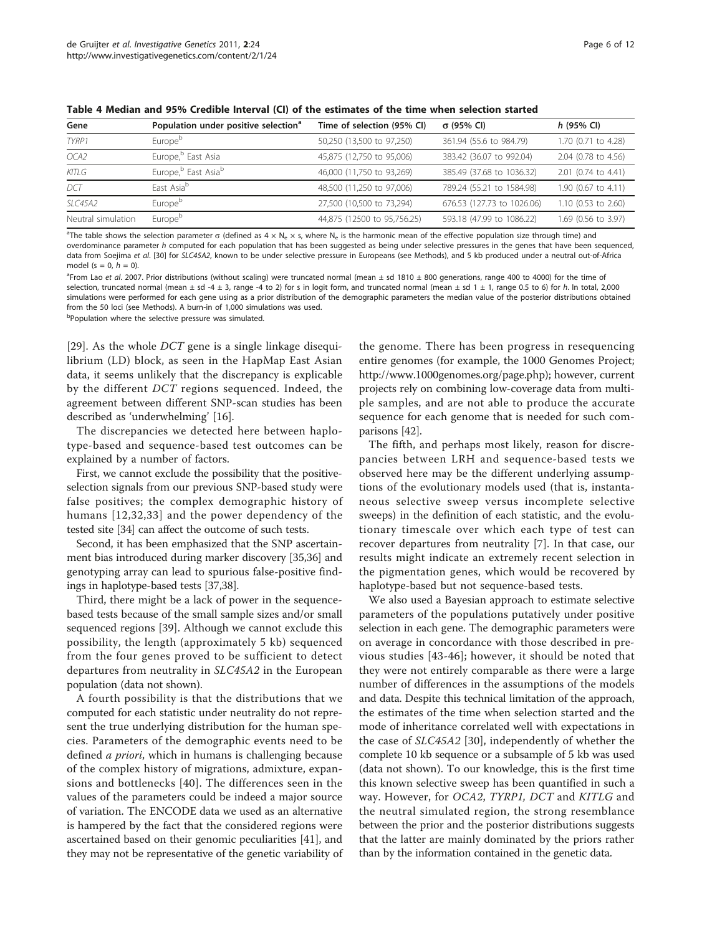| Gene               | Population under positive selection <sup>a</sup> | Time of selection (95% CI)  | σ (95% Cl)                 | $h$ (95% CI)        |
|--------------------|--------------------------------------------------|-----------------------------|----------------------------|---------------------|
| TYRP1              | Europe <sup>b</sup>                              | 50,250 (13,500 to 97,250)   | 361.94 (55.6 to 984.79)    | 1.70 (0.71 to 4.28) |
| OCA2               | Europe, <sup>b</sup> East Asia                   | 45,875 (12,750 to 95,006)   | 383.42 (36.07 to 992.04)   | 2.04 (0.78 to 4.56) |
| KITLG              | Europe, <sup>b</sup> East Asia <sup>b</sup>      | 46,000 (11,750 to 93,269)   | 385.49 (37.68 to 1036.32)  | 2.01 (0.74 to 4.41) |
| DCT                | Fast Asia <sup>b</sup>                           | 48,500 (11,250 to 97,006)   | 789.24 (55.21 to 1584.98)  | 1.90 (0.67 to 4.11) |
| SLC45A2            | Europe <sup>b</sup>                              | 27,500 (10,500 to 73,294)   | 676.53 (127.73 to 1026.06) | 1.10 (0.53 to 2.60) |
| Neutral simulation | Europe <sup>b</sup>                              | 44,875 (12500 to 95,756.25) | 593.18 (47.99 to 1086.22)  | 1.69 (0.56 to 3.97) |

<span id="page-5-0"></span>Table 4 Median and 95% Credible Interval (CI) of the estimates of the time when selection started

<sup>a</sup>The table shows the selection parameter  $\sigma$  (defined as  $4 \times N_e \times s$ , where  $N_e$  is the harmonic mean of the effective population size through time) and overdominance parameter h computed for each population that has been suggested as being under selective pressures in the genes that have been sequenced, data from Soejima et al. [\[30](#page-10-0)] for SLC45A2, known to be under selective pressure in Europeans (see Methods), and 5 kb produced under a neutral out-of-Africa model (s = 0,  $h = 0$ ).

<sup>a</sup>From Lao et al. 2007. Prior distributions (without scaling) were truncated normal (mean  $\pm$  sd 1810  $\pm$  800 generations, range 400 to 4000) for the time of selection, truncated normal (mean  $\pm$  sd -4  $\pm$  3, range -4 to 2) for s in logit form, and truncated normal (mean  $\pm$  sd 1  $\pm$  1, range 0.5 to 6) for h. In total, 2,000 simulations were performed for each gene using as a prior distribution of the demographic parameters the median value of the posterior distributions obtained from the 50 loci (see Methods). A burn-in of 1,000 simulations was used.

<sup>b</sup>Population where the selective pressure was simulated.

[[29\]](#page-10-0). As the whole DCT gene is a single linkage disequilibrium (LD) block, as seen in the HapMap East Asian data, it seems unlikely that the discrepancy is explicable by the different DCT regions sequenced. Indeed, the agreement between different SNP-scan studies has been described as 'underwhelming' [[16\]](#page-10-0).

The discrepancies we detected here between haplotype-based and sequence-based test outcomes can be explained by a number of factors.

First, we cannot exclude the possibility that the positiveselection signals from our previous SNP-based study were false positives; the complex demographic history of humans [[12,32,33\]](#page-10-0) and the power dependency of the tested site [\[34\]](#page-10-0) can affect the outcome of such tests.

Second, it has been emphasized that the SNP ascertainment bias introduced during marker discovery [[35,36\]](#page-10-0) and genotyping array can lead to spurious false-positive findings in haplotype-based tests [[37,38\]](#page-10-0).

Third, there might be a lack of power in the sequencebased tests because of the small sample sizes and/or small sequenced regions [[39\]](#page-10-0). Although we cannot exclude this possibility, the length (approximately 5 kb) sequenced from the four genes proved to be sufficient to detect departures from neutrality in SLC45A2 in the European population (data not shown).

A fourth possibility is that the distributions that we computed for each statistic under neutrality do not represent the true underlying distribution for the human species. Parameters of the demographic events need to be defined *a priori*, which in humans is challenging because of the complex history of migrations, admixture, expansions and bottlenecks [\[40\]](#page-11-0). The differences seen in the values of the parameters could be indeed a major source of variation. The ENCODE data we used as an alternative is hampered by the fact that the considered regions were ascertained based on their genomic peculiarities [[41](#page-11-0)], and they may not be representative of the genetic variability of the genome. There has been progress in resequencing entire genomes (for example, the 1000 Genomes Project; <http://www.1000genomes.org/page.php>); however, current projects rely on combining low-coverage data from multiple samples, and are not able to produce the accurate sequence for each genome that is needed for such comparisons [[42](#page-11-0)].

The fifth, and perhaps most likely, reason for discrepancies between LRH and sequence-based tests we observed here may be the different underlying assumptions of the evolutionary models used (that is, instantaneous selective sweep versus incomplete selective sweeps) in the definition of each statistic, and the evolutionary timescale over which each type of test can recover departures from neutrality [[7\]](#page-10-0). In that case, our results might indicate an extremely recent selection in the pigmentation genes, which would be recovered by haplotype-based but not sequence-based tests.

We also used a Bayesian approach to estimate selective parameters of the populations putatively under positive selection in each gene. The demographic parameters were on average in concordance with those described in previous studies [\[43-46\]](#page-11-0); however, it should be noted that they were not entirely comparable as there were a large number of differences in the assumptions of the models and data. Despite this technical limitation of the approach, the estimates of the time when selection started and the mode of inheritance correlated well with expectations in the case of SLC45A2 [\[30](#page-10-0)], independently of whether the complete 10 kb sequence or a subsample of 5 kb was used (data not shown). To our knowledge, this is the first time this known selective sweep has been quantified in such a way. However, for OCA2, TYRP1, DCT and KITLG and the neutral simulated region, the strong resemblance between the prior and the posterior distributions suggests that the latter are mainly dominated by the priors rather than by the information contained in the genetic data.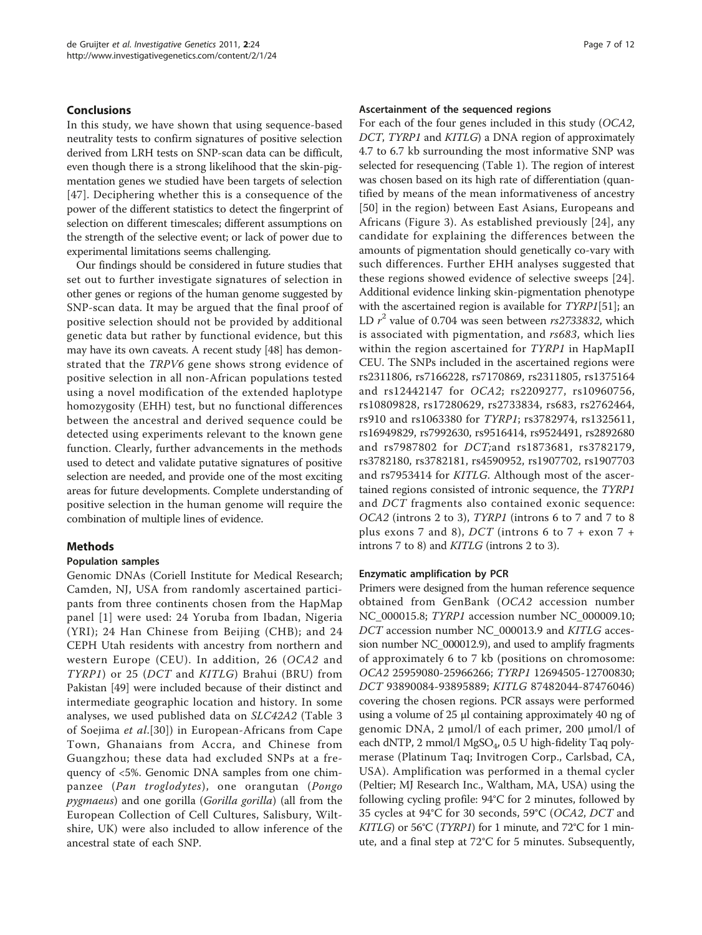#### Conclusions

In this study, we have shown that using sequence-based neutrality tests to confirm signatures of positive selection derived from LRH tests on SNP-scan data can be difficult, even though there is a strong likelihood that the skin-pigmentation genes we studied have been targets of selection [[47](#page-11-0)]. Deciphering whether this is a consequence of the power of the different statistics to detect the fingerprint of selection on different timescales; different assumptions on the strength of the selective event; or lack of power due to experimental limitations seems challenging.

Our findings should be considered in future studies that set out to further investigate signatures of selection in other genes or regions of the human genome suggested by SNP-scan data. It may be argued that the final proof of positive selection should not be provided by additional genetic data but rather by functional evidence, but this may have its own caveats. A recent study [[48](#page-11-0)] has demonstrated that the TRPV6 gene shows strong evidence of positive selection in all non-African populations tested using a novel modification of the extended haplotype homozygosity (EHH) test, but no functional differences between the ancestral and derived sequence could be detected using experiments relevant to the known gene function. Clearly, further advancements in the methods used to detect and validate putative signatures of positive selection are needed, and provide one of the most exciting areas for future developments. Complete understanding of positive selection in the human genome will require the combination of multiple lines of evidence.

# Methods

#### Population samples

Genomic DNAs (Coriell Institute for Medical Research; Camden, NJ, USA from randomly ascertained participants from three continents chosen from the HapMap panel [[1](#page-10-0)] were used: 24 Yoruba from Ibadan, Nigeria (YRI); 24 Han Chinese from Beijing (CHB); and 24 CEPH Utah residents with ancestry from northern and western Europe (CEU). In addition, 26 (OCA2 and TYRP1) or 25 (DCT and KITLG) Brahui (BRU) from Pakistan [\[49\]](#page-11-0) were included because of their distinct and intermediate geographic location and history. In some analyses, we used published data on SLC42A2 (Table [3](#page-4-0) of Soejima et al.[\[30](#page-10-0)]) in European-Africans from Cape Town, Ghanaians from Accra, and Chinese from Guangzhou; these data had excluded SNPs at a frequency of <5%. Genomic DNA samples from one chimpanzee (Pan troglodytes), one orangutan (Pongo pygmaeus) and one gorilla (Gorilla gorilla) (all from the European Collection of Cell Cultures, Salisbury, Wiltshire, UK) were also included to allow inference of the ancestral state of each SNP.

#### Ascertainment of the sequenced regions

For each of the four genes included in this study (OCA2, DCT, TYRP1 and KITLG) a DNA region of approximately 4.7 to 6.7 kb surrounding the most informative SNP was selected for resequencing (Table [1\)](#page-2-0). The region of interest was chosen based on its high rate of differentiation (quantified by means of the mean informativeness of ancestry [[50](#page-11-0)] in the region) between East Asians, Europeans and Africans (Figure [3\)](#page-7-0). As established previously [[24](#page-10-0)], any candidate for explaining the differences between the amounts of pigmentation should genetically co-vary with such differences. Further EHH analyses suggested that these regions showed evidence of selective sweeps [[24](#page-10-0)]. Additional evidence linking skin-pigmentation phenotype with the ascertained region is available for TYRP1[[51\]](#page-11-0); an LD  $r^2$  value of 0.704 was seen between  $rs2733832$ , which is associated with pigmentation, and rs683, which lies within the region ascertained for TYRP1 in HapMapII CEU. The SNPs included in the ascertained regions were rs2311806, rs7166228, rs7170869, rs2311805, rs1375164 and rs12442147 for OCA2; rs2209277, rs10960756, rs10809828, rs17280629, rs2733834, rs683, rs2762464, rs910 and rs1063380 for TYRP1; rs3782974, rs1325611, rs16949829, rs7992630, rs9516414, rs9524491, rs2892680 and rs7987802 for DCT;and rs1873681, rs3782179, rs3782180, rs3782181, rs4590952, rs1907702, rs1907703 and rs7953414 for KITLG. Although most of the ascertained regions consisted of intronic sequence, the TYRP1 and DCT fragments also contained exonic sequence: OCA2 (introns 2 to 3), TYRP1 (introns 6 to 7 and 7 to 8 plus exons 7 and 8),  $DCT$  (introns 6 to 7 + exon 7 + introns 7 to 8) and KITLG (introns 2 to 3).

#### Enzymatic amplification by PCR

Primers were designed from the human reference sequence obtained from GenBank (OCA2 accession number [NC\\_000015.8;](http://www.ncbi.nih.gov/entrez/query.fcgi?db=Nucleotide&cmd=search&term=NC_000015.8) TYRP1 accession number [NC\\_000009.10](http://www.ncbi.nih.gov/entrez/query.fcgi?db=Nucleotide&cmd=search&term=NC_000009.10); DCT accession number [NC\\_000013.9](http://www.ncbi.nih.gov/entrez/query.fcgi?db=Nucleotide&cmd=search&term=NC_000013.9) and KITLG accession number [NC\\_000012.9\)](http://www.ncbi.nih.gov/entrez/query.fcgi?db=Nucleotide&cmd=search&term=NC_000012.9), and used to amplify fragments of approximately 6 to 7 kb (positions on chromosome: OCA2 25959080-25966266; TYRP1 12694505-12700830; DCT 93890084-93895889; KITLG 87482044-87476046) covering the chosen regions. PCR assays were performed using a volume of 25 μl containing approximately 40 ng of genomic DNA, 2 μmol/l of each primer, 200 μmol/l of each dNTP, 2 mmol/l  $MgSO_4$ , 0.5 U high-fidelity Taq polymerase (Platinum Taq; Invitrogen Corp., Carlsbad, CA, USA). Amplification was performed in a themal cycler (Peltier; MJ Research Inc., Waltham, MA, USA) using the following cycling profile: 94°C for 2 minutes, followed by 35 cycles at 94°C for 30 seconds, 59°C (OCA2, DCT and KITLG) or 56°C (TYRP1) for 1 minute, and 72°C for 1 minute, and a final step at 72°C for 5 minutes. Subsequently,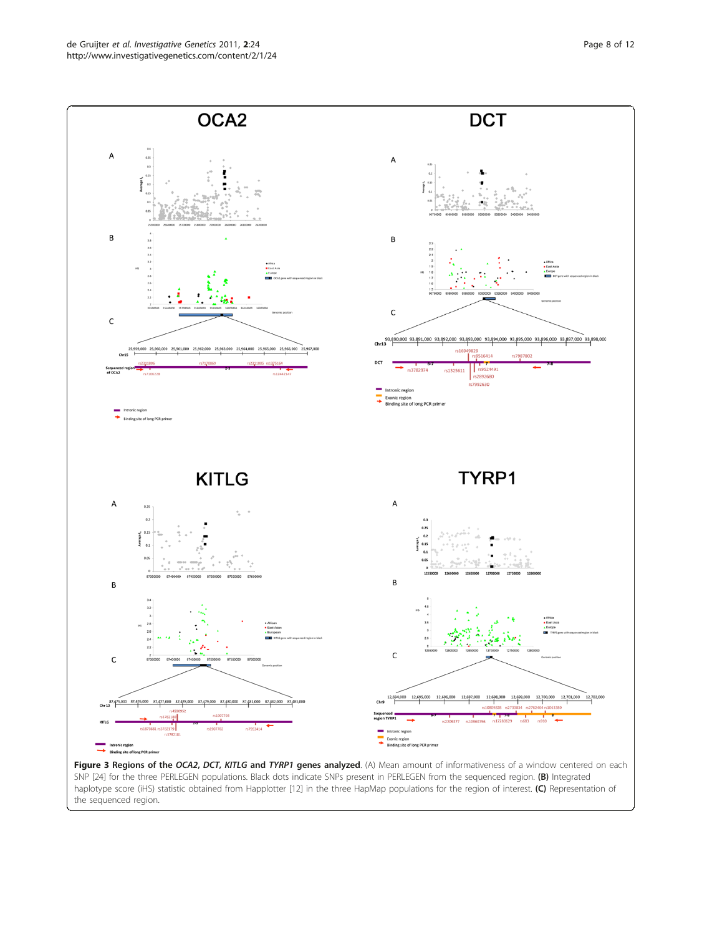<span id="page-7-0"></span>

SNP [\[24\]](#page-10-0) for the three PERLEGEN populations. Black dots indicate SNPs present in PERLEGEN from the sequenced region. (B) Integrated haplotype score (iHS) statistic obtained from Happlotter [[12](#page-10-0)] in the three HapMap populations for the region of interest. (C) Representation of the sequenced region.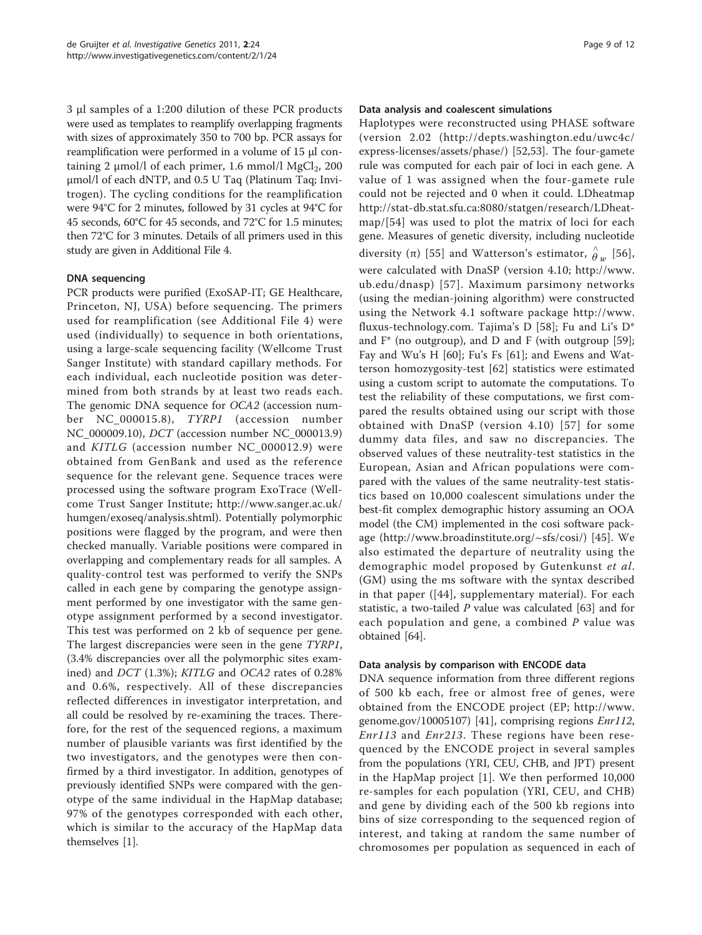3 μl samples of a 1:200 dilution of these PCR products were used as templates to reamplify overlapping fragments with sizes of approximately 350 to 700 bp. PCR assays for reamplification were performed in a volume of 15 μl containing 2  $\mu$ mol/l of each primer, 1.6 mmol/l MgCl<sub>2</sub>, 200 μmol/l of each dNTP, and 0.5 U Taq (Platinum Taq; Invitrogen). The cycling conditions for the reamplification were 94°C for 2 minutes, followed by 31 cycles at 94°C for 45 seconds, 60°C for 45 seconds, and 72°C for 1.5 minutes; then 72°C for 3 minutes. Details of all primers used in this study are given in Additional File [4.](#page-9-0)

# DNA sequencing

PCR products were purified (ExoSAP-IT; GE Healthcare, Princeton, NJ, USA) before sequencing. The primers used for reamplification (see Additional File [4](#page-9-0)) were used (individually) to sequence in both orientations, using a large-scale sequencing facility (Wellcome Trust Sanger Institute) with standard capillary methods. For each individual, each nucleotide position was determined from both strands by at least two reads each. The genomic DNA sequence for OCA2 (accession number NC\_000015.8), TYRP1 (accession number NC\_000009.10), DCT (accession number NC\_000013.9) and KITLG (accession number NC\_000012.9) were obtained from GenBank and used as the reference sequence for the relevant gene. Sequence traces were processed using the software program ExoTrace (Wellcome Trust Sanger Institute;<http://www.sanger.ac.uk/> humgen/exoseq/analysis.shtml). Potentially polymorphic positions were flagged by the program, and were then checked manually. Variable positions were compared in overlapping and complementary reads for all samples. A quality-control test was performed to verify the SNPs called in each gene by comparing the genotype assignment performed by one investigator with the same genotype assignment performed by a second investigator. This test was performed on 2 kb of sequence per gene. The largest discrepancies were seen in the gene TYRP1, (3.4% discrepancies over all the polymorphic sites examined) and DCT (1.3%); KITLG and OCA2 rates of 0.28% and 0.6%, respectively. All of these discrepancies reflected differences in investigator interpretation, and all could be resolved by re-examining the traces. Therefore, for the rest of the sequenced regions, a maximum number of plausible variants was first identified by the two investigators, and the genotypes were then confirmed by a third investigator. In addition, genotypes of previously identified SNPs were compared with the genotype of the same individual in the HapMap database; 97% of the genotypes corresponded with each other, which is similar to the accuracy of the HapMap data themselves [\[1](#page-10-0)].

# Data analysis and coalescent simulations

Haplotypes were reconstructed using PHASE software (version 2.02 ([http://depts.washington.edu/uwc4c/](http://depts.washington.edu/uwc4c/express-licenses/assets/phase/) [express-licenses/assets/phase/](http://depts.washington.edu/uwc4c/express-licenses/assets/phase/)) [[52,53\]](#page-11-0). The four-gamete rule was computed for each pair of loci in each gene. A value of 1 was assigned when the four-gamete rule could not be rejected and 0 when it could. LDheatmap [http://stat-db.stat.sfu.ca:8080/statgen/research/LDheat](http://stat-db.stat.sfu.ca:8080/statgen/research/LDheatmap/)[map/](http://stat-db.stat.sfu.ca:8080/statgen/research/LDheatmap/)[\[54\]](#page-11-0) was used to plot the matrix of loci for each gene. Measures of genetic diversity, including nucleotide diversity ( $\pi$ ) [[55](#page-11-0)] and Watterson's estimator,  $\hat{\theta}_w$  [[56](#page-11-0)], were calculated with DnaSP (version 4.10; [http://www.](http://www.ub.edu/dnasp) [ub.edu/dnasp](http://www.ub.edu/dnasp)) [[57](#page-11-0)]. Maximum parsimony networks (using the median-joining algorithm) were constructed using the Network 4.1 software package [http://www.](http://www.fluxus-technology.com) [fluxus-technology.com.](http://www.fluxus-technology.com) Tajima's D [\[58](#page-11-0)]; Fu and Li's D\* and  $F^*$  (no outgroup), and D and F (with outgroup [\[59](#page-11-0)]; Fay and Wu's H [[60\]](#page-11-0); Fu's Fs [[61](#page-11-0)]; and Ewens and Watterson homozygosity-test [[62](#page-11-0)] statistics were estimated using a custom script to automate the computations. To test the reliability of these computations, we first compared the results obtained using our script with those obtained with DnaSP (version 4.10) [[57\]](#page-11-0) for some dummy data files, and saw no discrepancies. The observed values of these neutrality-test statistics in the European, Asian and African populations were compared with the values of the same neutrality-test statistics based on 10,000 coalescent simulations under the best-fit complex demographic history assuming an OOA model (the CM) implemented in the cosi software package [\(http://www.broadinstitute.org/~sfs/cosi/](http://www.broadinstitute.org/~sfs/cosi/)) [[45](#page-11-0)]. We also estimated the departure of neutrality using the demographic model proposed by Gutenkunst et al. (GM) using the ms software with the syntax described in that paper ([\[44\]](#page-11-0), supplementary material). For each statistic, a two-tailed  $P$  value was calculated [\[63](#page-11-0)] and for each population and gene, a combined  $P$  value was obtained [\[64](#page-11-0)].

# Data analysis by comparison with ENCODE data

DNA sequence information from three different regions of 500 kb each, free or almost free of genes, were obtained from the ENCODE project (EP; [http://www.](http://www.genome.gov/10005107) [genome.gov/10005107\)](http://www.genome.gov/10005107) [\[41](#page-11-0)], comprising regions Enr112, Enr113 and Enr213. These regions have been resequenced by the ENCODE project in several samples from the populations (YRI, CEU, CHB, and JPT) present in the HapMap project [\[1](#page-10-0)]. We then performed 10,000 re-samples for each population (YRI, CEU, and CHB) and gene by dividing each of the 500 kb regions into bins of size corresponding to the sequenced region of interest, and taking at random the same number of chromosomes per population as sequenced in each of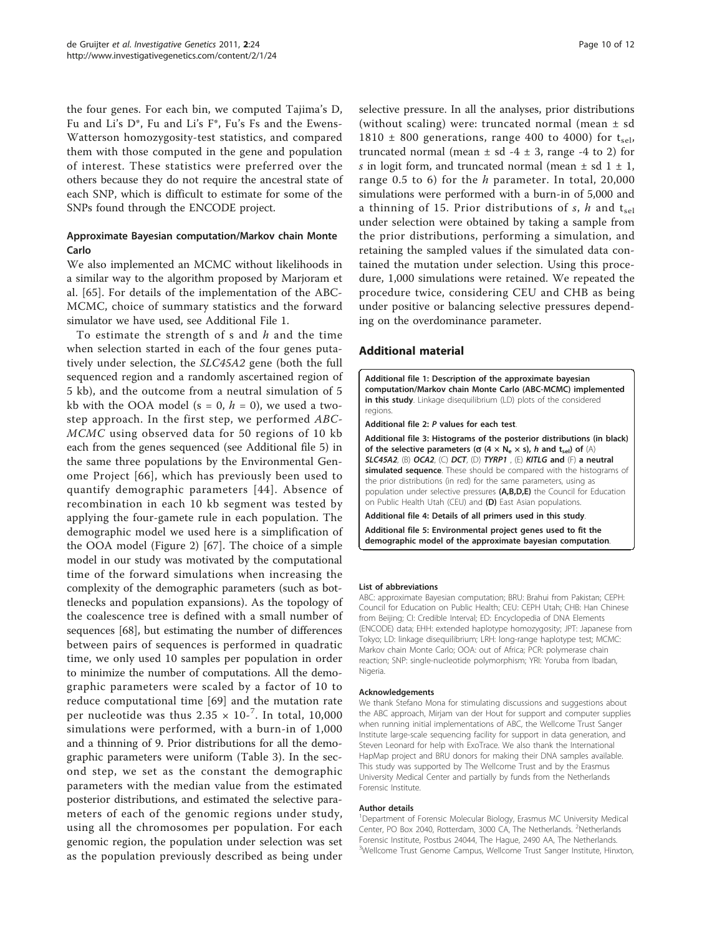<span id="page-9-0"></span>the four genes. For each bin, we computed Tajima's D, Fu and Li's D\*, Fu and Li's F\*, Fu's Fs and the Ewens-Watterson homozygosity-test statistics, and compared them with those computed in the gene and population of interest. These statistics were preferred over the others because they do not require the ancestral state of each SNP, which is difficult to estimate for some of the SNPs found through the ENCODE project.

# Approximate Bayesian computation/Markov chain Monte Carlo

We also implemented an MCMC without likelihoods in a similar way to the algorithm proposed by Marjoram et al. [[65](#page-11-0)]. For details of the implementation of the ABC-MCMC, choice of summary statistics and the forward simulator we have used, see Additional File 1.

To estimate the strength of s and  $h$  and the time when selection started in each of the four genes putatively under selection, the SLC45A2 gene (both the full sequenced region and a randomly ascertained region of 5 kb), and the outcome from a neutral simulation of 5 kb with the OOA model ( $s = 0$ ,  $h = 0$ ), we used a twostep approach. In the first step, we performed ABC-MCMC using observed data for 50 regions of 10 kb each from the genes sequenced (see Additional file 5) in the same three populations by the Environmental Genome Project [[66\]](#page-11-0), which has previously been used to quantify demographic parameters [[44](#page-11-0)]. Absence of recombination in each 10 kb segment was tested by applying the four-gamete rule in each population. The demographic model we used here is a simplification of the OOA model (Figure [2\)](#page-4-0) [[67\]](#page-11-0). The choice of a simple model in our study was motivated by the computational time of the forward simulations when increasing the complexity of the demographic parameters (such as bottlenecks and population expansions). As the topology of the coalescence tree is defined with a small number of sequences [[68\]](#page-11-0), but estimating the number of differences between pairs of sequences is performed in quadratic time, we only used 10 samples per population in order to minimize the number of computations. All the demographic parameters were scaled by a factor of 10 to reduce computational time [\[69](#page-11-0)] and the mutation rate per nucleotide was thus  $2.35 \times 10^{-7}$ . In total, 10,000 simulations were performed, with a burn-in of 1,000 and a thinning of 9. Prior distributions for all the demographic parameters were uniform (Table [3](#page-4-0)). In the second step, we set as the constant the demographic parameters with the median value from the estimated posterior distributions, and estimated the selective parameters of each of the genomic regions under study, using all the chromosomes per population. For each genomic region, the population under selection was set as the population previously described as being under

selective pressure. In all the analyses, prior distributions (without scaling) were: truncated normal (mean  $\pm$  sd 1810  $\pm$  800 generations, range 400 to 4000) for t<sub>sel</sub>, truncated normal (mean  $\pm$  sd -4  $\pm$  3, range -4 to 2) for s in logit form, and truncated normal (mean  $\pm$  sd 1  $\pm$  1, range 0.5 to 6) for the  $h$  parameter. In total, 20,000 simulations were performed with a burn-in of 5,000 and a thinning of 15. Prior distributions of s, h and  $t_{rel}$ under selection were obtained by taking a sample from the prior distributions, performing a simulation, and retaining the sampled values if the simulated data contained the mutation under selection. Using this procedure, 1,000 simulations were retained. We repeated the procedure twice, considering CEU and CHB as being under positive or balancing selective pressures depending on the overdominance parameter.

# Additional material

[Additional file 1: D](http://www.biomedcentral.com/content/supplementary/2041-2223-2-24-S1.DOC)escription of the approximate bayesian computation/Markov chain Monte Carlo (ABC-MCMC) implemented in this study. Linkage disequilibrium (LD) plots of the considered regions.

[Additional file 2:](http://www.biomedcentral.com/content/supplementary/2041-2223-2-24-S2.XLS) P values for each test.

[Additional file 3: H](http://www.biomedcentral.com/content/supplementary/2041-2223-2-24-S3.PDF)istograms of the posterior distributions (in black) of the selective parameters ( $\sigma$  (4  $\times$  N<sub>e</sub>  $\times$  s), h and t<sub>sel</sub>) of (A) SLC45A2, (B) OCA2, (C) DCT, (D) TYRP1, (E) KITLG and (F) a neutral simulated sequence. These should be compared with the histograms of the prior distributions (in red) for the same parameters, using as population under selective pressures (A,B,D,E) the Council for Education on Public Health Utah (CEU) and (D) East Asian populations.

[Additional file 4: D](http://www.biomedcentral.com/content/supplementary/2041-2223-2-24-S4.XLS)etails of all primers used in this study. [Additional file 5: E](http://www.biomedcentral.com/content/supplementary/2041-2223-2-24-S5.XLS)nvironmental project genes used to fit the

demographic model of the approximate bayesian computation.

#### List of abbreviations

ABC: approximate Bayesian computation; BRU: Brahui from Pakistan; CEPH: Council for Education on Public Health; CEU: CEPH Utah; CHB: Han Chinese from Beijing; CI: Credible Interval; ED: Encyclopedia of DNA Elements (ENCODE) data; EHH: extended haplotype homozygosity; JPT: Japanese from Tokyo; LD: linkage disequilibrium; LRH: long-range haplotype test; MCMC: Markov chain Monte Carlo; OOA: out of Africa; PCR: polymerase chain reaction; SNP: single-nucleotide polymorphism; YRI: Yoruba from Ibadan, Nigeria.

#### Acknowledgements

We thank Stefano Mona for stimulating discussions and suggestions about the ABC approach, Mirjam van der Hout for support and computer supplies when running initial implementations of ABC, the Wellcome Trust Sanger Institute large-scale sequencing facility for support in data generation, and Steven Leonard for help with ExoTrace. We also thank the International HapMap project and BRU donors for making their DNA samples available. This study was supported by The Wellcome Trust and by the Erasmus University Medical Center and partially by funds from the Netherlands Forensic Institute.

#### Author details

<sup>1</sup>Department of Forensic Molecular Biology, Erasmus MC University Medical Center, PO Box 2040, Rotterdam, 3000 CA, The Netherlands. <sup>2</sup>Netherlands Forensic Institute, Postbus 24044, The Hague, 2490 AA, The Netherlands. <sup>3</sup>Wellcome Trust Genome Campus, Wellcome Trust Sanger Institute, Hinxton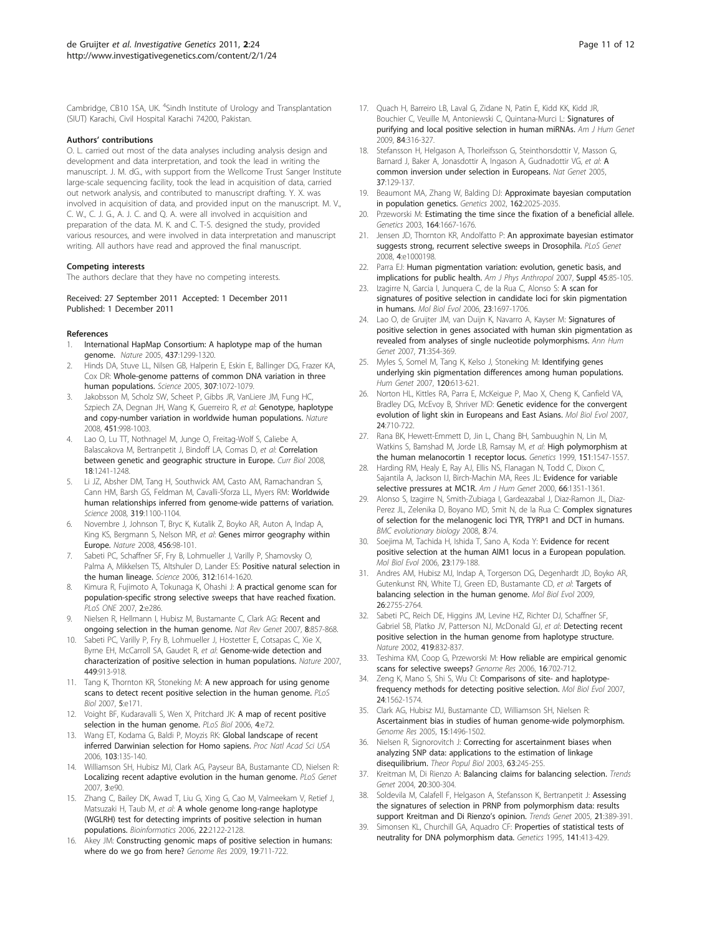<span id="page-10-0"></span>Cambridge, CB10 1SA, UK. <sup>4</sup>Sindh Institute of Urology and Transplantation (SIUT) Karachi, Civil Hospital Karachi 74200, Pakistan.

#### Authors' contributions

O. L. carried out most of the data analyses including analysis design and development and data interpretation, and took the lead in writing the manuscript. J. M. dG., with support from the Wellcome Trust Sanger Institute large-scale sequencing facility, took the lead in acquisition of data, carried out network analysis, and contributed to manuscript drafting. Y. X. was involved in acquisition of data, and provided input on the manuscript. M. V., C. W., C. J. G., A. J. C. and Q. A. were all involved in acquisition and preparation of the data. M. K. and C. T-S. designed the study, provided various resources, and were involved in data interpretation and manuscript writing. All authors have read and approved the final manuscript.

#### Competing interests

The authors declare that they have no competing interests.

Received: 27 September 2011 Accepted: 1 December 2011 Published: 1 December 2011

#### References

- 1. International HapMap Consortium: A haplotype map of the human genome. Nature 2005, 437:1299-1320.
- 2. Hinds DA, Stuve LL, Nilsen GB, Halperin E, Eskin E, Ballinger DG, Frazer KA, Cox DR: [Whole-genome patterns of common DNA variation in three](http://www.ncbi.nlm.nih.gov/pubmed/15718463?dopt=Abstract) [human populations.](http://www.ncbi.nlm.nih.gov/pubmed/15718463?dopt=Abstract) Science 2005, 307:1072-1079.
- 3. Jakobsson M, Scholz SW, Scheet P, Gibbs JR, VanLiere JM, Fung HC, Szpiech ZA, Degnan JH, Wang K, Guerreiro R, et al: [Genotype, haplotype](http://www.ncbi.nlm.nih.gov/pubmed/18288195?dopt=Abstract) [and copy-number variation in worldwide human populations.](http://www.ncbi.nlm.nih.gov/pubmed/18288195?dopt=Abstract) Nature 2008, 451:998-1003.
- 4. Lao O, Lu TT, Nothnagel M, Junge O, Freitag-Wolf S, Caliebe A, Balascakova M, Bertranpetit J, Bindoff LA, Comas D, et al: [Correlation](http://www.ncbi.nlm.nih.gov/pubmed/18691889?dopt=Abstract) [between genetic and geographic structure in Europe.](http://www.ncbi.nlm.nih.gov/pubmed/18691889?dopt=Abstract) Curr Biol 2008, 18:1241-1248.
- Li JZ, Absher DM, Tang H, Southwick AM, Casto AM, Ramachandran S, Cann HM, Barsh GS, Feldman M, Cavalli-Sforza LL, Myers RM: [Worldwide](http://www.ncbi.nlm.nih.gov/pubmed/18292342?dopt=Abstract) [human relationships inferred from genome-wide patterns of variation.](http://www.ncbi.nlm.nih.gov/pubmed/18292342?dopt=Abstract) Science 2008, 319:1100-1104.
- 6. Novembre J, Johnson T, Bryc K, Kutalik Z, Boyko AR, Auton A, Indap A, King KS, Bergmann S, Nelson MR, et al: [Genes mirror geography within](http://www.ncbi.nlm.nih.gov/pubmed/18758442?dopt=Abstract) [Europe.](http://www.ncbi.nlm.nih.gov/pubmed/18758442?dopt=Abstract) Nature 2008, 456:98-101.
- 7. Sabeti PC, Schaffner SF, Fry B, Lohmueller J, Varilly P, Shamovsky O, Palma A, Mikkelsen TS, Altshuler D, Lander ES: [Positive natural selection in](http://www.ncbi.nlm.nih.gov/pubmed/16778047?dopt=Abstract) [the human lineage.](http://www.ncbi.nlm.nih.gov/pubmed/16778047?dopt=Abstract) Science 2006, 312:1614-1620.
- 8. Kimura R, Fujimoto A, Tokunaga K, Ohashi J: [A practical genome scan for](http://www.ncbi.nlm.nih.gov/pubmed/17356696?dopt=Abstract) [population-specific strong selective sweeps that have reached fixation.](http://www.ncbi.nlm.nih.gov/pubmed/17356696?dopt=Abstract) PLoS ONE 2007, 2:e286.
- 9. Nielsen R, Hellmann I, Hubisz M, Bustamante C, Clark AG: [Recent and](http://www.ncbi.nlm.nih.gov/pubmed/17943193?dopt=Abstract) [ongoing selection in the human genome.](http://www.ncbi.nlm.nih.gov/pubmed/17943193?dopt=Abstract) Nat Rev Genet 2007, 8:857-868.
- 10. Sabeti PC, Varilly P, Fry B, Lohmueller J, Hostetter E, Cotsapas C, Xie X, Byrne EH, McCarroll SA, Gaudet R, et al: [Genome-wide detection and](http://www.ncbi.nlm.nih.gov/pubmed/17943131?dopt=Abstract) [characterization of positive selection in human populations.](http://www.ncbi.nlm.nih.gov/pubmed/17943131?dopt=Abstract) Nature 2007, 449:913-918.
- 11. Tang K, Thornton KR, Stoneking M: [A new approach for using genome](http://www.ncbi.nlm.nih.gov/pubmed/17579516?dopt=Abstract) [scans to detect recent positive selection in the human genome.](http://www.ncbi.nlm.nih.gov/pubmed/17579516?dopt=Abstract) PLoS Biol 2007, 5:e171.
- 12. Voight BF, Kudaravalli S, Wen X, Pritchard JK: [A map of recent positive](http://www.ncbi.nlm.nih.gov/pubmed/16494531?dopt=Abstract) [selection in the human genome.](http://www.ncbi.nlm.nih.gov/pubmed/16494531?dopt=Abstract) PLoS Biol 2006, 4:e72.
- 13. Wang ET, Kodama G, Baldi P, Moyzis RK: [Global landscape of recent](http://www.ncbi.nlm.nih.gov/pubmed/16371466?dopt=Abstract) [inferred Darwinian selection for Homo sapiens.](http://www.ncbi.nlm.nih.gov/pubmed/16371466?dopt=Abstract) Proc Natl Acad Sci USA 2006, 103:135-140.
- 14. Williamson SH, Hubisz MJ, Clark AG, Payseur BA, Bustamante CD, Nielsen R: [Localizing recent adaptive evolution in the human genome.](http://www.ncbi.nlm.nih.gov/pubmed/17542651?dopt=Abstract) PLoS Genet 2007, 3:e90.
- 15. Zhang C, Bailey DK, Awad T, Liu G, Xing G, Cao M, Valmeekam V, Retief J, Matsuzaki H, Taub M, et al: [A whole genome long-range haplotype](http://www.ncbi.nlm.nih.gov/pubmed/16845142?dopt=Abstract) [\(WGLRH\) test for detecting imprints of positive selection in human](http://www.ncbi.nlm.nih.gov/pubmed/16845142?dopt=Abstract) [populations.](http://www.ncbi.nlm.nih.gov/pubmed/16845142?dopt=Abstract) Bioinformatics 2006, 22:2122-2128.
- 16. Akey JM: [Constructing genomic maps of positive selection in humans:](http://www.ncbi.nlm.nih.gov/pubmed/19411596?dopt=Abstract) [where do we go from here?](http://www.ncbi.nlm.nih.gov/pubmed/19411596?dopt=Abstract) Genome Res 2009, 19:711-722.
- 17. Quach H, Barreiro LB, Laval G, Zidane N, Patin E, Kidd KK, Kidd JR, Bouchier C, Veuille M, Antoniewski C, Quintana-Murci L: [Signatures of](http://www.ncbi.nlm.nih.gov/pubmed/19232555?dopt=Abstract) [purifying and local positive selection in human miRNAs.](http://www.ncbi.nlm.nih.gov/pubmed/19232555?dopt=Abstract) Am J Hum Genet 2009, 84:316-327.
- 18. Stefansson H, Helgason A, Thorleifsson G, Steinthorsdottir V, Masson G, Barnard J, Baker [A](http://www.ncbi.nlm.nih.gov/pubmed/15654335?dopt=Abstract), Jonasdottir A, Ingason A, Gudnadottir VG, et al: A [common inversion under selection in Europeans.](http://www.ncbi.nlm.nih.gov/pubmed/15654335?dopt=Abstract) Nat Genet 2005, 37:129-137.
- Beaumont MA, Zhang W, Balding DJ: [Approximate bayesian computation](http://www.ncbi.nlm.nih.gov/pubmed/12524368?dopt=Abstract) [in population genetics.](http://www.ncbi.nlm.nih.gov/pubmed/12524368?dopt=Abstract) Genetics 2002, 162:2025-2035.
- 20. Przeworski M: [Estimating the time since the fixation of a beneficial allele.](http://www.ncbi.nlm.nih.gov/pubmed/12930770?dopt=Abstract) Genetics 2003, 164:1667-1676.
- 21. Jensen JD, Thornton KR, Andolfatto P: [An approximate bayesian estimator](http://www.ncbi.nlm.nih.gov/pubmed/18802463?dopt=Abstract) [suggests strong, recurrent selective sweeps in Drosophila.](http://www.ncbi.nlm.nih.gov/pubmed/18802463?dopt=Abstract) PLoS Genet 2008, 4:e1000198
- 22. Parra EJ: [Human pigmentation variation: evolution, genetic basis, and](http://www.ncbi.nlm.nih.gov/pubmed/18046745?dopt=Abstract) [implications for public health.](http://www.ncbi.nlm.nih.gov/pubmed/18046745?dopt=Abstract) Am J Phys Anthropol 2007, Suppl 45:85-105.
- 23. Izagirre N, Garcia I, Junquera C, de la Rua C, Alonso S: [A scan for](http://www.ncbi.nlm.nih.gov/pubmed/16757656?dopt=Abstract) [signatures of positive selection in candidate loci for skin pigmentation](http://www.ncbi.nlm.nih.gov/pubmed/16757656?dopt=Abstract) [in humans.](http://www.ncbi.nlm.nih.gov/pubmed/16757656?dopt=Abstract) Mol Biol Evol 2006, 23:1697-1706.
- 24. Lao O, de Gruijter JM, van Duijn K, Navarro A, Kayser M: [Signatures of](http://www.ncbi.nlm.nih.gov/pubmed/17233754?dopt=Abstract) [positive selection in genes associated with human skin pigmentation as](http://www.ncbi.nlm.nih.gov/pubmed/17233754?dopt=Abstract) [revealed from analyses of single nucleotide polymorphisms.](http://www.ncbi.nlm.nih.gov/pubmed/17233754?dopt=Abstract) Ann Hum Genet 2007, 71:354-369.
- 25. Myles S, Somel M, Tang K, Kelso J, Stoneking M: [Identifying genes](http://www.ncbi.nlm.nih.gov/pubmed/16977434?dopt=Abstract) [underlying skin pigmentation differences among human populations.](http://www.ncbi.nlm.nih.gov/pubmed/16977434?dopt=Abstract) Hum Genet 2007, 120:613-621.
- 26. Norton HL, Kittles RA, Parra E, McKeigue P, Mao X, Cheng K, Canfield VA, Bradley DG, McEvoy B, Shriver MD: [Genetic evidence for the convergent](http://www.ncbi.nlm.nih.gov/pubmed/17182896?dopt=Abstract) [evolution of light skin in Europeans and East Asians.](http://www.ncbi.nlm.nih.gov/pubmed/17182896?dopt=Abstract) Mol Biol Evol 2007, 24:710-722.
- 27. Rana BK, Hewett-Emmett D, Jin L, Chang BH, Sambuughin N, Lin M, Watkins S, Bamshad M, Jorde LB, Ramsay M, et al: [High polymorphism at](http://www.ncbi.nlm.nih.gov/pubmed/10101176?dopt=Abstract) [the human melanocortin 1 receptor locus.](http://www.ncbi.nlm.nih.gov/pubmed/10101176?dopt=Abstract) Genetics 1999, 151:1547-1557.
- 28. Harding RM, Healy E, Ray AJ, Ellis NS, Flanagan N, Todd C, Dixon C, Sajantila A, Jackson IJ, Birch-Machin MA, Rees JL: [Evidence for variable](http://www.ncbi.nlm.nih.gov/pubmed/10733465?dopt=Abstract) [selective pressures at MC1R.](http://www.ncbi.nlm.nih.gov/pubmed/10733465?dopt=Abstract) Am J Hum Genet 2000, 66:1351-1361.
- 29. Alonso S, Izagirre N, Smith-Zubiaga I, Gardeazabal J, Diaz-Ramon JL, Diaz-Perez JL, Zelenika D, Boyano MD, Smit N, de la Rua C: [Complex signatures](http://www.ncbi.nlm.nih.gov/pubmed/18312627?dopt=Abstract) [of selection for the melanogenic loci TYR, TYRP1 and DCT in humans.](http://www.ncbi.nlm.nih.gov/pubmed/18312627?dopt=Abstract) BMC evolutionary biology 2008, 8:74.
- 30. Soejima M, Tachida H, Ishida T, Sano A, Koda Y: [Evidence for recent](http://www.ncbi.nlm.nih.gov/pubmed/16162863?dopt=Abstract) [positive selection at the human AIM1 locus in a European population.](http://www.ncbi.nlm.nih.gov/pubmed/16162863?dopt=Abstract) Mol Biol Evol 2006, 23:179-188.
- 31. Andres AM, Hubisz MJ, Indap A, Torgerson DG, Degenhardt JD, Boyko AR, Gutenkunst RN, White TJ, Green ED, Bustamante CD, et al: [Targets of](http://www.ncbi.nlm.nih.gov/pubmed/19713326?dopt=Abstract) [balancing selection in the human genome.](http://www.ncbi.nlm.nih.gov/pubmed/19713326?dopt=Abstract) Mol Biol Evol 2009, 26:2755-2764.
- 32. Sabeti PC, Reich DE, Higgins JM, Levine HZ, Richter DJ, Schaffner SF, Gabriel SB, Platko JV, Patterson NJ, McDonald GJ, et al: [Detecting recent](http://www.ncbi.nlm.nih.gov/pubmed/12397357?dopt=Abstract) [positive selection in the human genome from haplotype structure.](http://www.ncbi.nlm.nih.gov/pubmed/12397357?dopt=Abstract) Nature 2002, 419:832-837
- 33. Teshima KM, Coop G, Przeworski M: [How reliable are empirical genomic](http://www.ncbi.nlm.nih.gov/pubmed/16687733?dopt=Abstract) [scans for selective sweeps?](http://www.ncbi.nlm.nih.gov/pubmed/16687733?dopt=Abstract) Genome Res 2006, 16:702-712.
- 34. Zeng K, Mano S, Shi S, Wu CI: [Comparisons of site- and haplotype](http://www.ncbi.nlm.nih.gov/pubmed/17449894?dopt=Abstract)[frequency methods for detecting positive selection.](http://www.ncbi.nlm.nih.gov/pubmed/17449894?dopt=Abstract) Mol Biol Evol 2007, 24:1562-1574.
- 35. Clark AG, Hubisz MJ, Bustamante CD, Williamson SH, Nielsen R: [Ascertainment bias in studies of human genome-wide polymorphism.](http://www.ncbi.nlm.nih.gov/pubmed/16251459?dopt=Abstract) Genome Res 2005, 15:1496-1502.
- 36. Nielsen R, Signorovitch J: [Correcting for ascertainment biases when](http://www.ncbi.nlm.nih.gov/pubmed/12689795?dopt=Abstract) [analyzing SNP data: applications to the estimation of linkage](http://www.ncbi.nlm.nih.gov/pubmed/12689795?dopt=Abstract) [disequilibrium.](http://www.ncbi.nlm.nih.gov/pubmed/12689795?dopt=Abstract) Theor Popul Biol 2003, 63:245-255.
- 37. Kreitman M, Di Rienzo A: [Balancing claims for balancing selection.](http://www.ncbi.nlm.nih.gov/pubmed/15219394?dopt=Abstract) Trends Genet 2004, 20:300-304.
- 38. Soldevila M, Calafell F, Helgason A, Stefansson K, Bertranpetit J: [Assessing](http://www.ncbi.nlm.nih.gov/pubmed/15913833?dopt=Abstract) [the signatures of selection in PRNP from polymorphism data: results](http://www.ncbi.nlm.nih.gov/pubmed/15913833?dopt=Abstract) [support Kreitman and Di Rienzo](http://www.ncbi.nlm.nih.gov/pubmed/15913833?dopt=Abstract)'s opinion. Trends Genet 2005, 21:389-391.
- 39. Simonsen KL, Churchill GA, Aquadro CF: [Properties of statistical tests of](http://www.ncbi.nlm.nih.gov/pubmed/8536987?dopt=Abstract) [neutrality for DNA polymorphism data.](http://www.ncbi.nlm.nih.gov/pubmed/8536987?dopt=Abstract) Genetics 1995, 141:413-429.